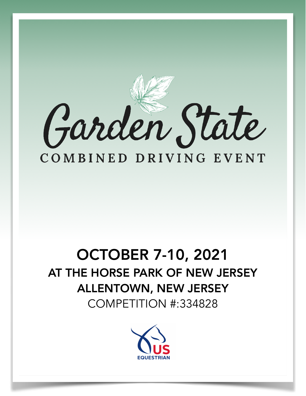

## OCTOBER 7-10, 2021 AT THE HORSE PARK OF NEW JERSEY ALLENTOWN, NEW JERSEY

COMPETITION #:334828

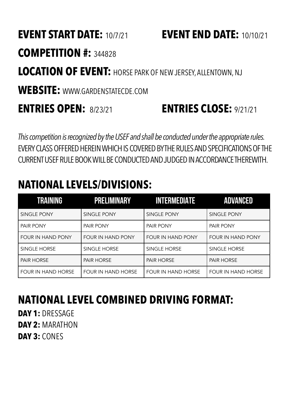### **EVENT START DATE:** 10/7/21 **EVENT END DATE:** 10/10/21

### **COMPETITION #:** <sup>344828</sup>

### **LOCATION OF EVENT:** HORSE PARK OF NEW JERSEY, ALLENTOWN, NJ

**WEBSITE:** WWW.GARDENSTATECDE.COM

### **ENTRIES OPEN:** 8/23/21 **ENTRIES CLOSE:** 9/21/21

*This competition is recognized by the USEF and shall be conducted under the appropriate rules.* EVERY CLASS OFFERED HEREIN WHICH IS COVERED BY THE RULES AND SPECIFICATIONS OF THE CURRENT USEF RULE BOOK WILL BE CONDUCTED AND JUDGED IN ACCORDANCE THEREWITH.

### **NATIONAL LEVELS/DIVISIONS:**

| <b>TRAINING</b>           | <b>PRELIMINARY</b>        | <b>INTERMEDIATE</b>      | ADVANCED                  |
|---------------------------|---------------------------|--------------------------|---------------------------|
| SINGLE PONY               | SINGLE PONY               | <b>SINGLE PONY</b>       | SINGLE PONY               |
| <b>PAIR PONY</b>          | <b>PAIR PONY</b>          | PAIR PONY                | <b>PAIR PONY</b>          |
| <b>FOUR IN HAND PONY</b>  | <b>FOUR IN HAND PONY</b>  | <b>FOUR IN HAND PONY</b> | FOUR IN HAND PONY         |
| SINGLE HORSE              | SINGLE HORSE              | SINGLE HORSE             | SINGLE HORSE              |
| <b>PAIR HORSE</b>         | <b>PAIR HORSE</b>         | <b>PAIR HORSE</b>        | <b>PAIR HORSE</b>         |
| <b>FOUR IN HAND HORSE</b> | <b>FOUR IN HAND HORSE</b> | FOUR IN HAND HORSE       | <b>FOUR IN HAND HORSE</b> |

### **NATIONAL LEVEL COMBINED DRIVING FORMAT:**

**DAY 1:** DRESSAGE **DAY 2:** MARATHON **DAY 3:** CONES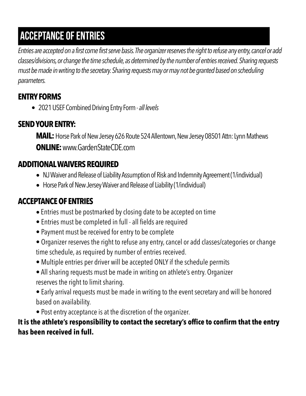### acceptance of entries

*Entries are accepted on a first come first serve basis. The organizer reserves the right to refuse any entry, cancel or add classes/divisions, or change the time schedule, as determined by the number of entries received. Sharing requests must be made in writing to the secretary. Sharing requests may or may not be granted based on scheduling parameters.* 

#### **ENTRY FORMS**

• 2021 USEF Combined Driving Entry Form - *all levels*

#### **SEND YOUR ENTRY:**

**MAIL:** Horse Park of New Jersey 626 Route 524 Allentown, New Jersey 08501 Attn: Lynn Mathews **ONLINE:** www.GardenStateCDE.com

#### **ADDITIONAL WAIVERS REQUIRED**

- **•** NJ Waiver and Release of Liability Assumption of Risk and Indemnity Agreement (1/individual)
- **•** Horse Park of New Jersey Waiver and Release of Liability (1/individual)

#### **ACCEPTANCE OF ENTRIES**

- Entries must be postmarked by closing date to be accepted on time
- Entries must be completed in full all fields are required
- Payment must be received for entry to be complete
- Organizer reserves the right to refuse any entry, cancel or add classes/categories or change time schedule, as required by number of entries received.
- Multiple entries per driver will be accepted ONLY if the schedule permits
- All sharing requests must be made in writing on athlete's entry. Organizer reserves the right to limit sharing.
- Early arrival requests must be made in writing to the event secretary and will be honored based on availability.
- Post entry acceptance is at the discretion of the organizer.

**It is the athlete's responsibility to contact the secretary's office to confirm that the entry has been received in full.**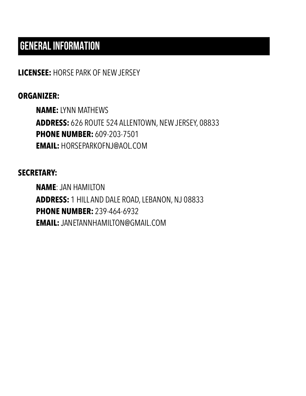### GENERAL INFORMATION

**LICENSEE:** HORSE PARK OF NEW JERSEY

#### **ORGANIZER:**

**NAME:** LYNN MATHEWS **ADDRESS:** 626 ROUTE 524 ALLENTOWN, NEW JERSEY, 08833 **PHONE NUMBER:** 609-203-7501 **EMAIL:** HORSEPARKOFNJ@AOL.COM

#### **SECRETARY:**

**NAME**: JAN HAMILTON **ADDRESS:** 1 HILL AND DALE ROAD, LEBANON, NJ 08833 **PHONE NUMBER:** 239-464-6932 **EMAIL:** JANETANNHAMILTON@GMAIL.COM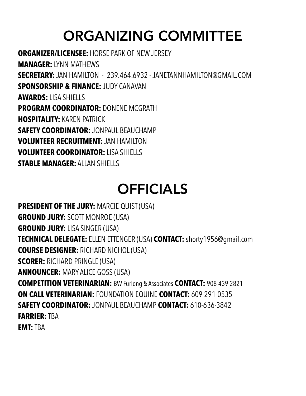## ORGANIZING COMMITTEE

**ORGANIZER/LICENSEE:** HORSE PARK OF NEW JERSEY **MANAGER:** LYNN MATHEWS **SECRETARY:** JAN HAMILTON - 239.464.6932 - JANETANNHAMILTON@GMAIL.COM **SPONSORSHIP & FINANCE:** JUDY CANAVAN **AWARDS:** LISA SHIELLS **PROGRAM COORDINATOR:** DONENE MCGRATH **HOSPITALITY:** KAREN PATRICK **SAFETY COORDINATOR:** JONPAUL BEAUCHAMP **VOLUNTEER RECRUITMENT:** JAN HAMILTON **VOLUNTEER COORDINATOR:** LISA SHIELLS **STABLE MANAGER: ALLAN SHIFLLS** 

## OFFICIALS

**PRESIDENT OF THE JURY:** MARCIE QUIST (USA) **GROUND JURY:** SCOTT MONROE (USA) **GROUND JURY:** LISA SINGER (USA) **TECHNICAL DELEGATE:** ELLEN ETTENGER (USA) **CONTACT:** shorty1956@gmail.com **COURSE DESIGNER:** RICHARD NICHOL (USA) **SCORER:** RICHARD PRINGLE (USA) **ANNOUNCER:** MARY ALICE GOSS (USA) **COMPETITION VETERINARIAN:** BW Furlong & Associates **CONTACT:** 908-439-2821 **ON CALL VETERINARIAN:** FOUNDATION EQUINE **CONTACT:** 609-291-0535 **SAFETY COORDINATOR:** JONPAUL BEAUCHAMP **CONTACT:** 610-636-3842 **FARRIER:** TBA **EMT:** TBA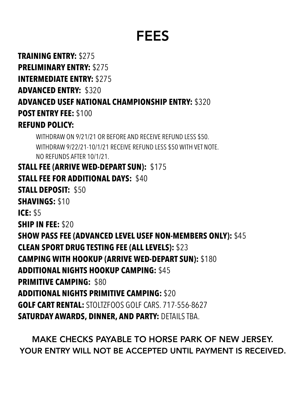## FEES

**TRAINING ENTRY:** \$275 **PRELIMINARY ENTRY:** \$275 **INTERMEDIATE ENTRY:** \$275 **ADVANCED ENTRY:** \$320 **ADVANCED USEF NATIONAL CHAMPIONSHIP ENTRY:** \$320 **POST ENTRY FEE:** \$100 **REFUND POLICY:** 

WITHDRAW ON 9/21/21 OR BEFORE AND RECEIVE REFUND LESS \$50. WITHDRAW 9/22/21-10/1/21 RECEIVE REFUND LESS \$50 WITH VET NOTE. NO REFUNDS AFTER 10/1/21.

**STALL FEE (ARRIVE WED-DEPART SUN):** \$175 **STALL FEE FOR ADDITIONAL DAYS:** \$40 **STALL DEPOSIT:** \$50 **SHAVINGS:** \$10 **ICE:** \$5 **SHIP IN FEE:** \$20 **SHOW PASS FEE (ADVANCED LEVEL USEF NON-MEMBERS ONLY):** \$45 **CLEAN SPORT DRUG TESTING FEE (ALL LEVELS):** \$23 **CAMPING WITH HOOKUP (ARRIVE WED-DEPART SUN):** \$180 **ADDITIONAL NIGHTS HOOKUP CAMPING:** \$45 **PRIMITIVE CAMPING:** \$80 **ADDITIONAL NIGHTS PRIMITIVE CAMPING:** \$20 **GOLF CART RENTAL:** STOLTZFOOS GOLF CARS. 717-556-8627 **SATURDAY AWARDS, DINNER, AND PARTY:** DETAILS TBA.

MAKE CHECKS PAYABLE TO HORSE PARK OF NEW JERSEY. YOUR ENTRY WILL NOT BE ACCEPTED UNTIL PAYMENT IS RECEIVED.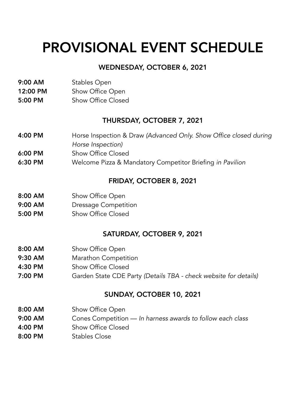## PROVISIONAL EVENT SCHEDULE

#### WEDNESDAY, OCTOBER 6, 2021

- 9:00 AM Stables Open
- 12:00 PM Show Office Open
- 5:00 PM Show Office Closed

#### THURSDAY, OCTOBER 7, 2021

- 4:00 PM Horse Inspection & Draw *(Advanced Only. Show Office closed during*
- *Horse Inspection)*
- 6:00 PM Show Office Closed
- 6:30 PM Welcome Pizza & Mandatory Competitor Briefing *in Pavilion*

#### FRIDAY, OCTOBER 8, 2021

- 8:00 AM Show Office Open
- 9:00 AM Dressage Competition
- 5:00 PM Show Office Closed

#### SATURDAY, OCTOBER 9, 2021

- 8:00 AM Show Office Open
- 9:30 AM Marathon Competition
- 4:30 PM Show Office Closed
- 7:00 PM Garden State CDE Party *(Details TBA check website for details)*

#### SUNDAY, OCTOBER 10, 2021

- 8:00 AM Show Office Open
- 9:00 AM Cones Competition — *In harness awards to follow each class*
- 4:00 PM Show Office Closed
- 8:00 PM Stables Close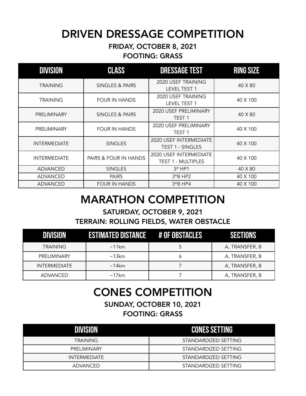### DRIVEN DRESSAGE COMPETITION

#### FRIDAY, OCTOBER 8, 2021 FOOTING: GRASS

| <b>DIVISION</b>     | <b>CLASS</b>          | <b>DRESSAGE TEST</b>                              | <b>RING SIZE</b> |
|---------------------|-----------------------|---------------------------------------------------|------------------|
| <b>TRAINING</b>     | SINGLES & PAIRS       | 2020 USEF TRAINING<br>LEVEL TEST 1                | 40 X 80          |
| <b>TRAINING</b>     | <b>FOUR IN HANDS</b>  | 2020 USEF TRAINING<br><b>LEVEL TEST 1</b>         | 40 X 100         |
| PRELIMINARY         | SINGLES & PAIRS       | 2020 USEF PRELIMINARY<br>TEST <sub>1</sub>        | 40 X 80          |
| PRELIMINARY         | <b>FOUR IN HANDS</b>  | 2020 USEF PRELIMINARY<br>TEST <sub>1</sub>        | 40 X 100         |
| <b>INTERMEDIATE</b> | <b>SINGLES</b>        | 2020 USEF INTERMEDIATE<br><b>TEST 1 - SINGLES</b> | 40 X 100         |
| <b>INTERMEDIATE</b> | PAIRS & FOUR IN HANDS | 2020 USEF INTERMEDIATE<br>TEST 1 - MULTIPLES      | 40 X 100         |
| <b>ADVANCED</b>     | <b>SINGLES</b>        | $3*$ HP1                                          | 40 X 80          |
| ADVANCED            | <b>PAIRS</b>          | $3*B$ HP2                                         | 40 X 100         |
| ADVANCED            | <b>FOUR IN HANDS</b>  | $3*B$ HP4                                         | 40 X 100         |

### MARATHON COMPETITION

#### SATURDAY, OCTOBER 9, 2021 TERRAIN: ROLLING FIELDS, WATER OBSTACLE

|                     | <b>ESTIMATED DISTANCE # OF OBSTACLES</b> |   |                |
|---------------------|------------------------------------------|---|----------------|
| <b>TRAINING</b>     | $\sim$ 11 $km$                           | b | A, TRANSFER, B |
| PRELIMINARY         | $\sim$ 13 $km$                           | O | A, TRANSFER, B |
| <b>INTERMEDIATE</b> | $\sim$ 14 km                             |   | A, TRANSFER, B |
| <b>ADVANCED</b>     | $\sim$ 17 $km$                           |   | A, TRANSFER, B |

### CONES COMPETITION

SUNDAY, OCTOBER 10, 2021 FOOTING: GRASS

| DIVISION            | <b>LCONES SETTING!</b> |
|---------------------|------------------------|
| <b>TRAINING</b>     | STANDARDIZED SETTING   |
| <b>PRELIMINARY</b>  | STANDARDIZED SETTING   |
| <b>INTERMEDIATE</b> | STANDARDIZED SETTING   |
| ADVANCED            | STANDARDIZED SETTING   |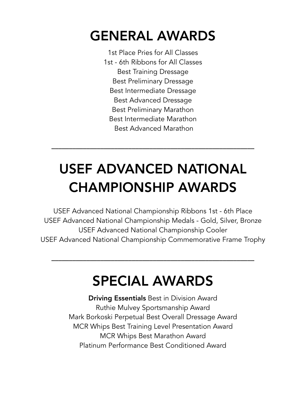## GENERAL AWARDS

1st Place Pries for All Classes 1st - 6th Ribbons for All Classes Best Training Dressage Best Preliminary Dressage Best Intermediate Dressage Best Advanced Dressage Best Preliminary Marathon Best Intermediate Marathon Best Advanced Marathon

## USEF ADVANCED NATIONAL CHAMPIONSHIP AWARDS

\_\_\_\_\_\_\_\_\_\_\_\_\_\_\_\_\_\_\_\_\_\_\_\_\_\_\_\_\_\_\_\_\_\_\_\_\_\_\_\_\_\_\_\_\_\_\_\_\_\_\_\_\_\_\_\_\_\_

USEF Advanced National Championship Ribbons 1st - 6th Place USEF Advanced National Championship Medals - Gold, Silver, Bronze USEF Advanced National Championship Cooler USEF Advanced National Championship Commemorative Frame Trophy

## SPECIAL AWARDS

\_\_\_\_\_\_\_\_\_\_\_\_\_\_\_\_\_\_\_\_\_\_\_\_\_\_\_\_\_\_\_\_\_\_\_\_\_\_\_\_\_\_\_\_\_\_\_\_\_\_\_\_\_\_\_\_\_\_

Driving Essentials Best in Division Award Ruthie Mulvey Sportsmanship Award Mark Borkoski Perpetual Best Overall Dressage Award MCR Whips Best Training Level Presentation Award MCR Whips Best Marathon Award Platinum Performance Best Conditioned Award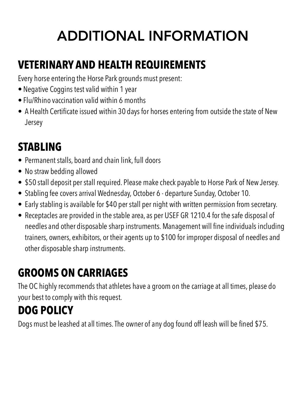# ADDITIONAL INFORMATION

## **VETERINARY AND HEALTH REQUIREMENTS**

Every horse entering the Horse Park grounds must present:

- Negative Coggins test valid within 1 year
- Flu/Rhino vaccination valid within 6 months
- A Health Certificate issued within 30 days for horses entering from outside the state of New Jersey

## **STABLING**

- Permanent stalls, board and chain link, full doors
- No straw bedding allowed
- \$50 stall deposit per stall required. Please make check payable to Horse Park of New Jersey.
- Stabling fee covers arrival Wednesday, October 6 departure Sunday, October 10.
- Early stabling is available for \$40 per stall per night with written permission from secretary.
- Receptacles are provided in the stable area, as per USEF GR 1210.4 for the safe disposal of needles and other disposable sharp instruments. Management will fine individuals including trainers, owners, exhibitors, or their agents up to \$100 for improper disposal of needles and other disposable sharp instruments.

## **GROOMS ON CARRIAGES**

The OC highly recommends that athletes have a groom on the carriage at all times, please do your best to comply with this request.

## **DOG POLICY**

Dogs must be leashed at all times. The owner of any dog found off leash will be fined \$75.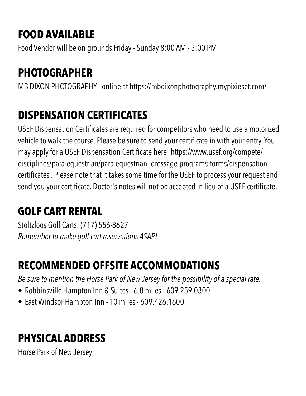## **FOOD AVAILABLE**

Food Vendor will be on grounds Friday - Sunday 8:00 AM - 3:00 PM

## **PHOTOGRAPHER**

MB DIXON PHOTOGRAPHY - online at <https://mbdixonphotography.mypixieset.com/>

## **DISPENSATION CERTIFICATES**

USEF Dispensation Certificates are required for competitors who need to use a motorized vehicle to walk the course. Please be sure to send your certificate in with your entry. You may apply for a USEF Dispensation Certificate here: https://www.usef.org/compete/ disciplines/para-equestrian/para-equestrian- dressage-programs-forms/dispensation certificates . Please note that it takes some time for the USEF to process your request and send you your certificate. Doctor's notes will not be accepted in lieu of a USEF certificate.

## **GOLF CART RENTAL**

Stoltzfoos Golf Carts: (717) 556-8627 *Remember to make golf cart reservations ASAP!*

## **RECOMMENDED OFFSITE ACCOMMODATIONS**

*Be sure to mention the Horse Park of New Jersey for the possibility of a special rate.* 

- Robbinsville Hampton Inn & Suites 6.8 miles 609.259.0300
- East Windsor Hampton Inn 10 miles 609.426.1600

## **PHYSICAL ADDRESS**

Horse Park of New Jersey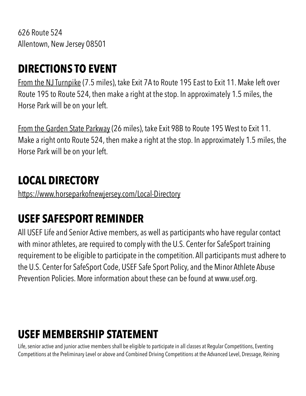626 Route 524 Allentown, New Jersey 08501

### **DIRECTIONS TO EVENT**

From the NJ Turnpike (7.5 miles), take Exit 7A to Route 195 East to Exit 11. Make left over Route 195 to Route 524, then make a right at the stop. In approximately 1.5 miles, the Horse Park will be on your left.

From the Garden State Parkway (26 miles), take Exit 98B to Route 195 West to Exit 11. Make a right onto Route 524, then make a right at the stop. In approximately 1.5 miles, the Horse Park will be on your left.

### **LOCAL DIRECTORY**

<https://www.horseparkofnewjersey.com/Local-Directory>

## **USEF SAFESPORT REMINDER**

All USEF Life and Senior Active members, as well as participants who have regular contact with minor athletes, are required to comply with the U.S. Center for SafeSport training requirement to be eligible to participate in the competition. All participants must adhere to the U.S. Center for SafeSport Code, USEF Safe Sport Policy, and the Minor Athlete Abuse Prevention Policies. More information about these can be found at www.usef.org.

## **USEF MEMBERSHIP STATEMENT**

Life, senior active and junior active members shall be eligible to participate in all classes at Regular Competitions, Eventing Competitions at the Preliminary Level or above and Combined Driving Competitions at the Advanced Level, Dressage, Reining